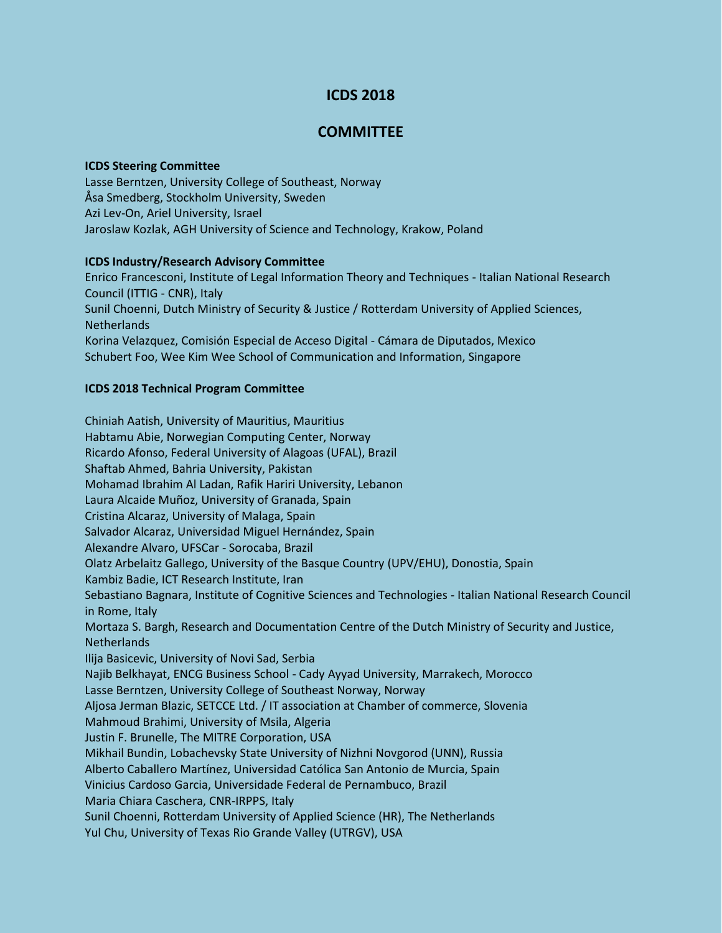# **ICDS 2018**

# **COMMITTEE**

#### **ICDS Steering Committee**

Lasse Berntzen, University College of Southeast, Norway Åsa Smedberg, Stockholm University, Sweden Azi Lev-On, Ariel University, Israel Jaroslaw Kozlak, AGH University of Science and Technology, Krakow, Poland

## **ICDS Industry/Research Advisory Committee**

Enrico Francesconi, Institute of Legal Information Theory and Techniques - Italian National Research Council (ITTIG - CNR), Italy Sunil Choenni, Dutch Ministry of Security & Justice / Rotterdam University of Applied Sciences, **Netherlands** Korina Velazquez, Comisión Especial de Acceso Digital - Cámara de Diputados, Mexico Schubert Foo, Wee Kim Wee School of Communication and Information, Singapore

## **ICDS 2018 Technical Program Committee**

Chiniah Aatish, University of Mauritius, Mauritius Habtamu Abie, Norwegian Computing Center, Norway Ricardo Afonso, Federal University of Alagoas (UFAL), Brazil Shaftab Ahmed, Bahria University, Pakistan Mohamad Ibrahim Al Ladan, Rafik Hariri University, Lebanon Laura Alcaide Muñoz, University of Granada, Spain Cristina Alcaraz, University of Malaga, Spain Salvador Alcaraz, Universidad Miguel Hernández, Spain Alexandre Alvaro, UFSCar - Sorocaba, Brazil Olatz Arbelaitz Gallego, University of the Basque Country (UPV/EHU), Donostia, Spain Kambiz Badie, ICT Research Institute, Iran Sebastiano Bagnara, Institute of Cognitive Sciences and Technologies - Italian National Research Council in Rome, Italy Mortaza S. Bargh, Research and Documentation Centre of the Dutch Ministry of Security and Justice, Netherlands Ilija Basicevic, University of Novi Sad, Serbia Najib Belkhayat, ENCG Business School - Cady Ayyad University, Marrakech, Morocco Lasse Berntzen, University College of Southeast Norway, Norway Aljosa Jerman Blazic, SETCCE Ltd. / IT association at Chamber of commerce, Slovenia Mahmoud Brahimi, University of Msila, Algeria Justin F. Brunelle, The MITRE Corporation, USA Mikhail Bundin, Lobachevsky State University of Nizhni Novgorod (UNN), Russia Alberto Caballero Martínez, Universidad Católica San Antonio de Murcia, Spain Vinicius Cardoso Garcia, Universidade Federal de Pernambuco, Brazil Maria Chiara Caschera, CNR-IRPPS, Italy Sunil Choenni, Rotterdam University of Applied Science (HR), The Netherlands Yul Chu, University of Texas Rio Grande Valley (UTRGV), USA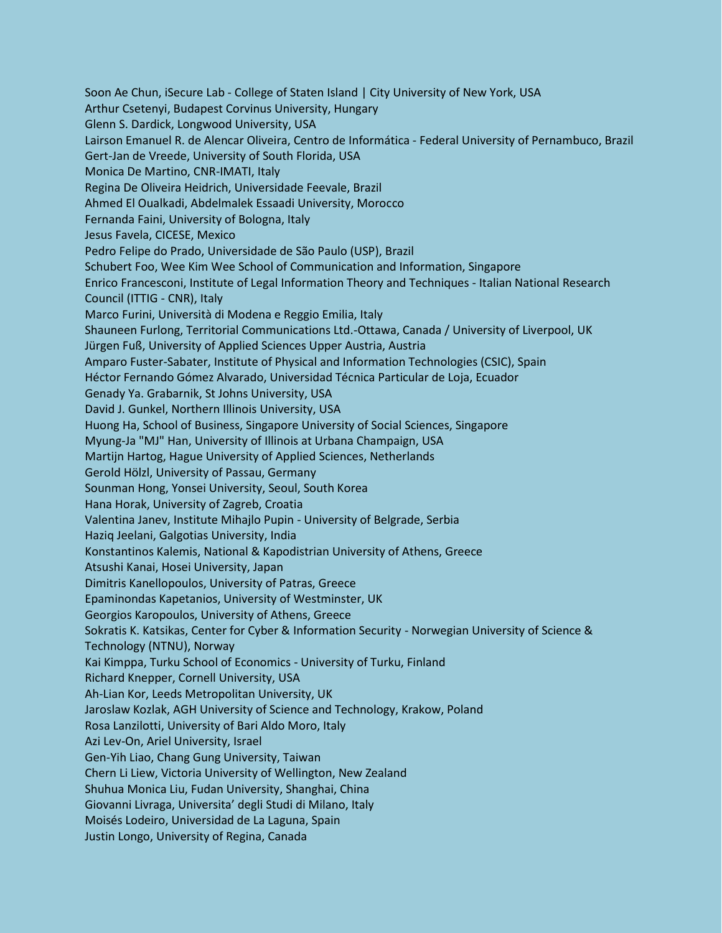Soon Ae Chun, iSecure Lab - College of Staten Island | City University of New York, USA Arthur Csetenyi, Budapest Corvinus University, Hungary Glenn S. Dardick, Longwood University, USA Lairson Emanuel R. de Alencar Oliveira, Centro de Informática - Federal University of Pernambuco, Brazil Gert-Jan de Vreede, University of South Florida, USA Monica De Martino, CNR-IMATI, Italy Regina De Oliveira Heidrich, Universidade Feevale, Brazil Ahmed El Oualkadi, Abdelmalek Essaadi University, Morocco Fernanda Faini, University of Bologna, Italy Jesus Favela, CICESE, Mexico Pedro Felipe do Prado, Universidade de São Paulo (USP), Brazil Schubert Foo, Wee Kim Wee School of Communication and Information, Singapore Enrico Francesconi, Institute of Legal Information Theory and Techniques - Italian National Research Council (ITTIG - CNR), Italy Marco Furini, Università di Modena e Reggio Emilia, Italy Shauneen Furlong, Territorial Communications Ltd.-Ottawa, Canada / University of Liverpool, UK Jürgen Fuß, University of Applied Sciences Upper Austria, Austria Amparo Fuster-Sabater, Institute of Physical and Information Technologies (CSIC), Spain Héctor Fernando Gómez Alvarado, Universidad Técnica Particular de Loja, Ecuador Genady Ya. Grabarnik, St Johns University, USA David J. Gunkel, Northern Illinois University, USA Huong Ha, School of Business, Singapore University of Social Sciences, Singapore Myung-Ja "MJ" Han, University of Illinois at Urbana Champaign, USA Martijn Hartog, Hague University of Applied Sciences, Netherlands Gerold Hölzl, University of Passau, Germany Sounman Hong, Yonsei University, Seoul, South Korea Hana Horak, University of Zagreb, Croatia Valentina Janev, Institute Mihajlo Pupin - University of Belgrade, Serbia Haziq Jeelani, Galgotias University, India Konstantinos Kalemis, National & Kapodistrian University of Athens, Greece Atsushi Kanai, Hosei University, Japan Dimitris Kanellopoulos, University of Patras, Greece Epaminondas Kapetanios, University of Westminster, UK Georgios Karopoulos, University of Athens, Greece Sokratis K. Katsikas, Center for Cyber & Information Security - Norwegian University of Science & Technology (NTNU), Norway Kai Kimppa, Turku School of Economics - University of Turku, Finland Richard Knepper, Cornell University, USA Ah-Lian Kor, Leeds Metropolitan University, UK Jaroslaw Kozlak, AGH University of Science and Technology, Krakow, Poland Rosa Lanzilotti, University of Bari Aldo Moro, Italy Azi Lev-On, Ariel University, Israel Gen-Yih Liao, Chang Gung University, Taiwan Chern Li Liew, Victoria University of Wellington, New Zealand Shuhua Monica Liu, Fudan University, Shanghai, China Giovanni Livraga, Universita' degli Studi di Milano, Italy Moisés Lodeiro, Universidad de La Laguna, Spain Justin Longo, University of Regina, Canada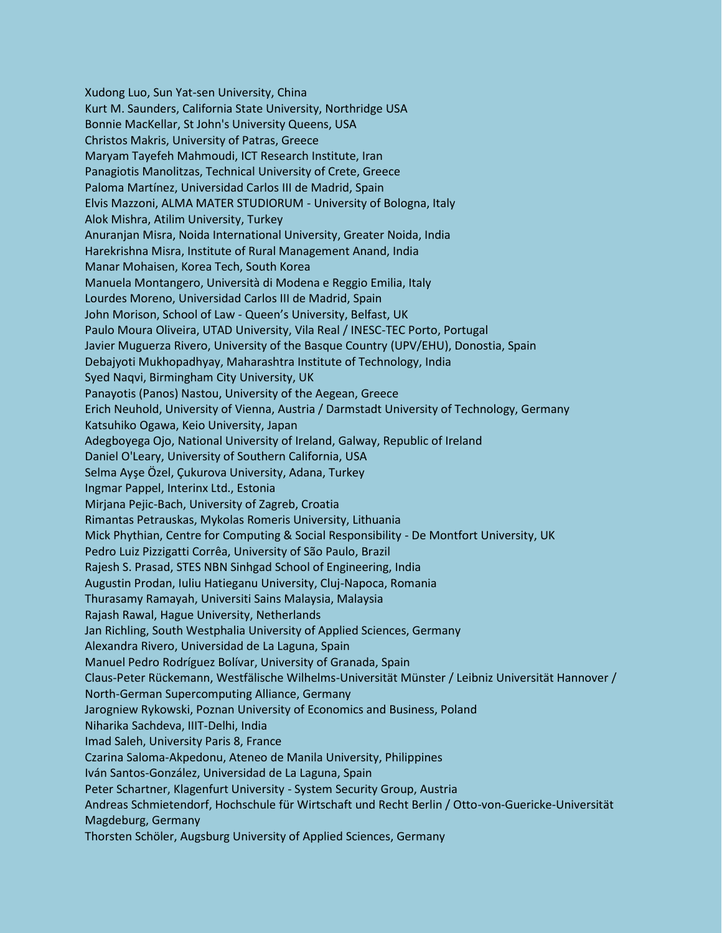Xudong Luo, Sun Yat-sen University, China Kurt M. Saunders, California State University, Northridge USA Bonnie MacKellar, St John's University Queens, USA Christos Makris, University of Patras, Greece Maryam Tayefeh Mahmoudi, ICT Research Institute, Iran Panagiotis Manolitzas, Technical University of Crete, Greece Paloma Martínez, Universidad Carlos III de Madrid, Spain Elvis Mazzoni, ALMA MATER STUDIORUM - University of Bologna, Italy Alok Mishra, Atilim University, Turkey Anuranjan Misra, Noida International University, Greater Noida, India Harekrishna Misra, Institute of Rural Management Anand, India Manar Mohaisen, Korea Tech, South Korea Manuela Montangero, Università di Modena e Reggio Emilia, Italy Lourdes Moreno, Universidad Carlos III de Madrid, Spain John Morison, School of Law - Queen's University, Belfast, UK Paulo Moura Oliveira, UTAD University, Vila Real / INESC-TEC Porto, Portugal Javier Muguerza Rivero, University of the Basque Country (UPV/EHU), Donostia, Spain Debajyoti Mukhopadhyay, Maharashtra Institute of Technology, India Syed Naqvi, Birmingham City University, UK Panayotis (Panos) Nastou, University of the Aegean, Greece Erich Neuhold, University of Vienna, Austria / Darmstadt University of Technology, Germany Katsuhiko Ogawa, Keio University, Japan Adegboyega Ojo, National University of Ireland, Galway, Republic of Ireland Daniel O'Leary, University of Southern California, USA Selma Ayşe Özel, Çukurova University, Adana, Turkey Ingmar Pappel, Interinx Ltd., Estonia Mirjana Pejic-Bach, University of Zagreb, Croatia Rimantas Petrauskas, Mykolas Romeris University, Lithuania Mick Phythian, Centre for Computing & Social Responsibility - De Montfort University, UK Pedro Luiz Pizzigatti Corrêa, University of São Paulo, Brazil Rajesh S. Prasad, STES NBN Sinhgad School of Engineering, India Augustin Prodan, Iuliu Hatieganu University, Cluj-Napoca, Romania Thurasamy Ramayah, Universiti Sains Malaysia, Malaysia Rajash Rawal, Hague University, Netherlands Jan Richling, South Westphalia University of Applied Sciences, Germany Alexandra Rivero, Universidad de La Laguna, Spain Manuel Pedro Rodríguez Bolívar, University of Granada, Spain Claus-Peter Rückemann, Westfälische Wilhelms-Universität Münster / Leibniz Universität Hannover / North-German Supercomputing Alliance, Germany Jarogniew Rykowski, Poznan University of Economics and Business, Poland Niharika Sachdeva, IIIT-Delhi, India Imad Saleh, University Paris 8, France Czarina Saloma-Akpedonu, Ateneo de Manila University, Philippines Iván Santos-González, Universidad de La Laguna, Spain Peter Schartner, Klagenfurt University - System Security Group, Austria Andreas Schmietendorf, Hochschule für Wirtschaft und Recht Berlin / Otto-von-Guericke-Universität Magdeburg, Germany Thorsten Schöler, Augsburg University of Applied Sciences, Germany